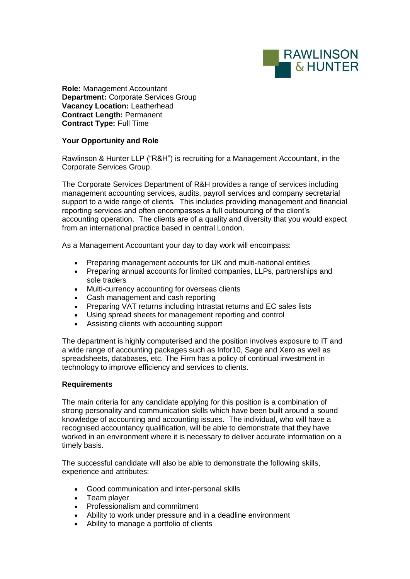

**Role:** Management Accountant **Department:** Corporate Services Group **Vacancy Location:** Leatherhead **Contract Length:** Permanent **Contract Type:** Full Time

## **Your Opportunity and Role**

Rawlinson & Hunter LLP ("R&H") is recruiting for a Management Accountant, in the Corporate Services Group.

The Corporate Services Department of R&H provides a range of services including management accounting services, audits, payroll services and company secretarial support to a wide range of clients. This includes providing management and financial reporting services and often encompasses a full outsourcing of the client's accounting operation. The clients are of a quality and diversity that you would expect from an international practice based in central London.

As a Management Accountant your day to day work will encompass:

- Preparing management accounts for UK and multi-national entities
- Preparing annual accounts for limited companies, LLPs, partnerships and sole traders
- Multi-currency accounting for overseas clients<br>• Cash management and cash reporting
- Cash management and cash reporting
- Preparing VAT returns including Intrastat returns and EC sales lists
- Using spread sheets for management reporting and control
- Assisting clients with accounting support

The department is highly computerised and the position involves exposure to IT and a wide range of accounting packages such as Infor10, Sage and Xero as well as spreadsheets, databases, etc. The Firm has a policy of continual investment in technology to improve efficiency and services to clients.

## **Requirements**

The main criteria for any candidate applying for this position is a combination of strong personality and communication skills which have been built around a sound knowledge of accounting and accounting issues. The individual, who will have a recognised accountancy qualification, will be able to demonstrate that they have worked in an environment where it is necessary to deliver accurate information on a timely basis.

The successful candidate will also be able to demonstrate the following skills, experience and attributes:

- Good communication and inter-personal skills
- Team player
- Professionalism and commitment
- Ability to work under pressure and in a deadline environment
- Ability to manage a portfolio of clients